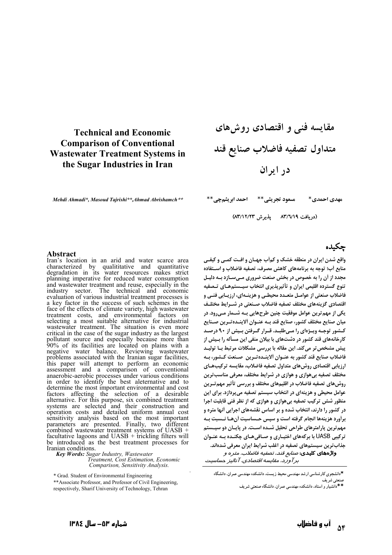## **Technical and Economic Comparison of Conventional Wastewater Treatment Systems in** the Sugar Industries in Iran

Mehdi Ahmadi\*, Masoud Tajrishi\*\*, Ahmad Abrishamch\*\*

مقایسه فنی و اقتصادی روشهای متداول تصفيه فاضلاب صنايع قند در ایران

مسعود تجريشي\*\* ۔ احمد ابريشمجي\*\* مهدي احمدي\*

(دريافت ٨٣/٦/١٩ - يذيرش ٨٣/١٢/٢٣)

#### Abstract

Iran's location in an arid and water scarce area characterized by qualititative and quantitative degradation in its water resources makes strict planning imperative for reduced water consumption and wastewater treatment and reuse, especially in the industry sector. The technical and economic evaluation of various industrial treatment processes is a key factor in the success of such schemes in the face of the effects of climate variety, high wastewater treatment costs, and environmental factors on selecting a most suitable alternative for industrial wastewater treatment. The situation is even more critical in the case of the sugar industry as the largest pollutant source and especially because more than<br>90% of its facilities are located on plains with a<br>negative water balance. Reviewing wastewater problems associated with the Iranian sugar facilities, this paper will attempt to perform an economic<br>assessment and a comparison of conventional anaerobic-aerobic processes under various conditions in order to identify the best aleternative and to determine the most important environmental and cost factors affecting the selection of a desirable alternative. For this purpose, six combined treatment<br>systems are selected and their construction and operation costs and detailed uniform annual cost sensitivity analysis based on the most important<br>parameters are presented. Finally, two different combined wastewater treatment systems of UASB + facultative lagoons and  $UASB + \text{trickling filters will}$ be introduced as the best treatment processes for Iranian conditions.

Key Words: Sugar Industry, Wastewater Treatment, Cost Estimation, Economic Comparison, Sensitivity Analysis.

\* Grad. Student of Environmental Engineering

\*\* Associate Professor, and Professor of Civil Engineering, respectively, Sharif University of Technology, Tehran

#### حكىدە

واقع شدن ایران در منطقه خشک و کمأب جهـان و افـت کمـی و کیفـی منابع أب؛ توجه به برنامههای کاهش مصرف، تصفیه فاضلاب و استفاده مجدد از آن را به خصوص در بخش صنعت ضروری مـیسـازد بـه دلیـل تنوع گسترده اقليمي ايران و تأثيريذيري انتخاب سيـستمهـاي تـصفيه فاضلاب صنعتی از عوامـل متعـدد محیطـی و هزینـهای، ارزیـابی فنـی و اقتصادی گزینههای مختلف تصفیه فاضلاب صـنعتی در شـرایط مختلـف یکی از مهم ترین عوامل موفقیت چنین طرحهایی بـه شــمار مــی٫ود. در میان صنایع مختلف کشور، صنایع قند په عنبوان آلاینیده تیرین صینایع کـشور توجـه ويـژهای را مـیطلبـد. قـرار گـرفتن بـيش از ۹۰ درصـد کارخانههای قند کشور در دشتهای با بیلان منفی این مسأله را بـیش از پیش مشخص تر می کند. این مقاله با بررسی مشکلات مرتبط بـا تولیـد فاضلاب صنايع قند كشور به عنـوان ألاينـده تـرين ٍ صـنعت كـشور، بـه ارزیابی اقتصادی روش های متداول تصفیه فاضلاب، مقایسه ترکیبهـای مختلف تصفیه بی هوازی و هوازی در شرایط مختلف، معرفی مناسب ترین روش@های تصفیه فاضلاب در اقلیمهای مختلف و بررسی تأثیر مهمتـرین عوامل محیطی و هزینهای در انتخاب سیستم تصفیه میپردازد. برای این منظور شش ترکیب تصفیه بی هوازی و هوازی که از نظر فنی قابلیت اجرا در کشور را دارند، انتخاب شده و بر اساس نقشههای اجرایی آنها متره و برأورد هزينهها انجام گرفته است و سپس حـساسيت أنهـا نـسبت بـه مهم ترین پارامترهای طراحی تحلیل شـده اسـت. در پایـان دو سیـستم ترکیبی UASB با برکههای اختیـاری و صـافی هـای چکنـده بـه عنـوان جذاب ترین سیستمهای تصفیه در اغلب شرایط ایران معرفی شدهاند. **واژههای کلیدی**: *صنایع قند، تصفیه فاضلاب، متره و* 

بر آورد، مقایسه اقتصادی، آنالیز حساسیت

\*دانشجوی کارشناسی ارشد مهندسی محیط زیست، دانشکده مهندسی عمران. دانشگاه صنعتي شريف

\*\*دانشیار و استاد، دانشکده مهندسی عمران، دانشگاه صنعتی شریف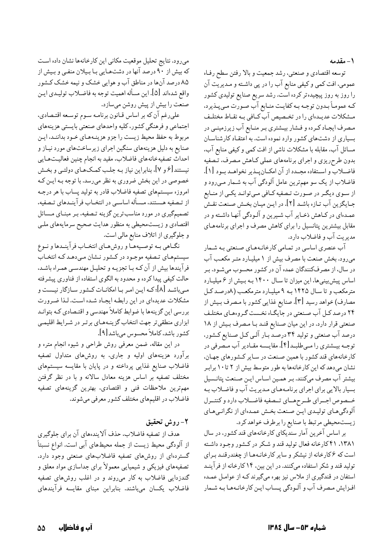۱ – مقدمه

توسعه اقتصادي و صنعتبي، رشد جمعيت و بالا رفتن سطح رفـاه عمومي، افت كمي و كيفي منابع آب را در پي داشته و مديريت آن را روز به روز پیچیدهتر کرده است. رشد سریع صنایع تولیدی کشور کـه عمومـاً بـدون توجـه بـه کفايـت منـابع آب صـورت مـي4نيرد، مـشكلات عديـدهاي را در تخـصيص آب كـافي بـه نقـاط مختلـف مصرف ایجاد کـرده و فـشار بیـشتری بـر منـابع آب زیرزمینـی در بسیاری از دشتهای کشور وارد نموده است. به اعتقـاد کارشناسـان مسائل آب، مقابله با مشکلات ناشی از افت کمی و کیفی منابع آب. بدون طرحریزی و اجرای برنامههای عملی کاهش مصرف، تصفیه فاضلاب و استفاده مجـدد از آن امكـانپـذير نخواهـد بـود [۱]. فاضلاب از یک سو مهمترین عامل آلودگی آب به شـمار مـی٫ود و از سـوي ديگـر در صـورت تـصفيه كـافي مـيتوانـد يكـي از منـابع جـايگزين آب تـازه باشـد [٢]. در ايـن ميـان بخـش صـنعت نقـش عمـدهاي در كـاهش ذخـاير آب شـيرين و آلـودگي آنهـا داشـته و در مقابل بیشترین پتانسیل را برای کاهش مصرف و اجرای برنامههای مديريت آب و فاضلاب دارد.

آب عنصری اساسی در تمـامی کارخانـههـای صـنعتی بـه شـمار میرود. بخش صنعت با مصرف بیش از ۱ میلیـارد متـر مکعـب آب در سال، از مصرفکنندگان عمده آن در کشور محسوب میشـود. بـر اساس پیشبینیها، این میزان تا سـال ۱۴۰۰ بـه بـیش از ۶ میلیـارد مترمکعب و تا سال ۱۴۲۵ به ۹ میلیارد مترمکعب (۸درصد کل مصارف) خواهد رسيد [۳]. صنايع غذايي كشور با مـصرف بـيش از ۲۴ درصد کـل آب صـنعتي در جايگـاه نخـست گـروههـاي مختلـف صنعتی قرار دارد. در این میان صنایع قنـد بـا مـصرف بـیش از ۱۸ درصد آب صنعتی و تولید ۳۴ درصـد بـار آلـی کـل صـنایع کـشور. توجــه بيــشتري را مــىطلبــد[۴]. مقايــسه مقــادير آب مــصرفى در کارخانههای قند کشور با همین صنعت در سایر کشورهای جهان، نشان میدهد که این کارخانهها به طور متوسط بیش از ۲ تا ۱۰ برابر بیشتر آب مصرف میکنند. بـر همـین اسـاس ایـن صـنعت پتانـسیل بسیار بالایی برای اجرای برنامههای مدیریت آب و فاضلاب به خـصوص اجـراي طـرحهـاي تـصفيه فاضـلاب دارد وكنتـرل آلودگیهای تولیدی این صنعت بخش عمدهای از نگرانیهای زيست محيطي مرتبط با صنايع را برطرف خواهد كرد.

بر اساس آخرین آمار سندیکای کارخانههای قند کشور، در سال ۰۱۳۸۱ ۴۱ کارخانه فعال تولید قند و شکر در کشور وجود داشته است که ۶کارخانه از نیشکر و سایر کارخانـههـا از چغندرقنـد بـراي تولید قند و شکر استفاده میکنند. در این بین، ۱۴ کارخانه از فرآینـد استفان در قندگیری از ملاس نیز بهره میگیرند کـه از عوامـل عمـده افـزايش مـصرف آب و آلـودگي پـساب ايـن كارخانـههـا بـه شـمار

میرود. نتایج تحلیل موقعیت مکانی این کارخانهها نشان داده است که بیش از ۹۰ درصد آنها در دشتهایی با بیلان منفی و بیش از ۸۵ درصد آنها در مناطق آب و هوایی خشک و نیمه خشک کشور واقع شدهاند [۵]. اين مسأله اهميت توجه به فاضـلاب توليـدي ايـن صنعت را بیش از پیش روشن میسازد.

علىرغم آن كه بر اساس قـانون برنامـه سـوم توسـعه اقتـصادي. اجتماعي و فرهنگي كشور، كليه واحدهاي صنعتي بايستي هزينههاي مربوط به حفظ محيط زيست را جزو هزينـههـاي خـود بداننـد، ايـن صنایع به دلیل هزینههای سنگین اجرای زیرساختهای مورد نیـاز و احداث تصفيهخانههاي فاضلاب، مقيد به انجام چنين فعاليتهايي نیستند[۶ و ۷]، بنابراین نیاز بـه جلـب کمـکـهـای دولتـی و بخـش خصوصی در این بخش ضروری به نظر میرسد. با توجه بـه ایـن کـه امروزه سیستمهای تصفیه فاضلاب قادر به تولید پساب با هر درجـه از تـصفيه هـستند، مـسأله اساسـي در انتخـاب فرآينـدهاي تـصفيه، تصمیمگیری در مورد مناسب ترین گزینه تـصفیه، بـر مبنـای مـسائل اقتصادی و زیستمحیطی به منظور هدایت صحیح سرمایههای ملـی و جلوگیری از اتلاف منابع مالی است.

نگـاهي بـه توصـيههـا و روش هـاي انتخـاب فرآينـدها و نـوع سیستمهای تصفیه موجـود در کـشور نـشان مـی‹هـد کـه انتخـاب فرآیندها بیش از آن کـه بـا تجزیـه و تحلیـل مهندسـي همـراه باشـد. حالت کیفی پیدا کرده و محدود به الگوی استفاده از فناوری پیشرفته مـیباشـد [۸]؛ کـه ایـن امـر بـا امکانـات کـشور سـازگار نیـست و مشکلات عدیدهای در این رابطه ایجاد شده است. لـذا ضـرورت بررسی این گزینهها با ضوابط کاملاً مهندسی و اقتـصادی کـه بتوانـد ابزاری منطقیتر جهت انتخاب گزینههای برتر در شرایط اقلیمی كشور باشد، كاملاً محسوس مىباشد[۹].

در این مقاله، ضمن معرفی روش طراحی و شیوه انجام متره و برآورد هزینههای اولیه و جاری، به روشهای متداول تصفیه فاضلاب صنایع غذایی پرداخته و در پایان با مقایسه سیستمهای مختلف تصفیه بر اساس هزینه معادل سالانه و با در نظر گرفتن مهمترین ملاحظات فنبی و اقتصادی، بهترین گزینههای تصفیه فاضلاب در اقلیمهای مختلف کشور معرفی میشوند.

# ٢- روش تحقيق

هدف از تصفیه فاضلاب، حذف آلایندههای آن برای جلوگیری از آلودگی محیط زیست از جمله محیطهای آبی است. انواع نسبتاً گستردهای از روشهای تصفیه فاضلابهای صنعتی وجود دارد. تصفیههای فیزیکی و شیمیایی معمولاً برای جداسازی مواد معلق و گندزدایی فاضلاب به کار میروند و در اغلب روشهای تصفیه .<br>فاضلاب یکسان میباشند. بنابراین مبنای مقایسه فرآیندهای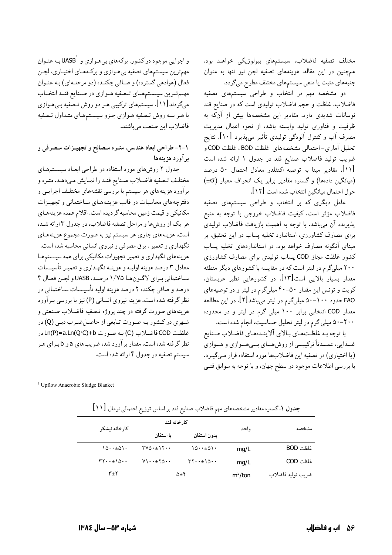مختلف تصفیه فاضلاب، سیستمهای بیولوژیکی خواهند بود. همچنین در این مقاله، هزینههای تصفیه لجن نیز تنها به عنوان جنبههای مثبت یا منفی سیستمهای مختلف مطرح میگردد.

دو مشخصه مهم در انتخاب و طراحی سیستمهای تصفیه فاضلاب، غلظت و حجم فاضلاب تولیدی است که در صنایع قند نوسانات شدیدی دارد. مقادیر این مشخصهها بیش از آنکه به ظرفیت و فناوری تولید وابسته باشد، از نحوه اعمال مدیریت مصرف آب و کنترل آلودگی تولیدی تأثیر میپذیرد [۱۰]. نتایج تحليل آماري-احتمالي مشخصههاي غلظت BOD، غلظت COD و ضریب تولید فاضلاب صنایع قند در جدول ۱ ارائه شده است [۱۱]. مقادیر مبنا به توصیه اکنفلدر معادل احتمال ۵۰ درصد (میانگین دادهها) و گستره مقادیر برابر یک انحراف معیار (EO+) حول احتمال ميانگين انتخاب شده است [١٢].

عامل دیگری که بر انتخاب و طراحی سیستمهای تصفیه فاضلاب مؤثر است. كيفيت فاضلاب خروجي با توجه به منبع پذیرنده آن میباشد. با توجه به اهمیت بازیافت فاضلاب تولیدی برای مصارف کشاورزی، استاندارد تخلیه پساب در این تحقیق، بر مبنای آنگونه مصارف خواهد بود. در استانداردهای تخلیه پساب کشور غلظت مجاز COD پساب تولیدی برای مصارف کشاورزی ۲۰۰ میلیگرم در لیتر است که در مقایسه با کشورهای دیگر منطقه مقدار بسیار بالایی است[۱۳]. در کشورهایی نظیر عربستان، کویت و تونس این مقدار ۵۰-۴۰ میلیگرم در لیتر و در توصیههای FAO حدود ۱۰۰–۵۰ میلیگرم در لیتر میباشد[۲]. در این مطالعه مقدار COD انتخابی برابر ۱۰۰ میلی گرم در لیتر و در محدوده ۲۰۰–۵۰ میلی گرم در لیتر تحلیل حساسیت، انجام شده است.

با توجه بـه غلظـتحـاي بـالاي آلاينـدهحـاي فاضـلاب صـنايع غــذایی، عمــدتاً ترکیبــی از روش،هــای بــی،هــوازی و هــوازی (یا اختیاری) در تصفیه این فاضلابها مورد استفاده قرار میگیرد. با بررسی اطلاعات موجود در سطح جهان، و با توجه به سوابق فنــی

و اجرایی موجود در کشور، برکههای بیهوازی و 'UASB بـه عنـوان مهم ترین سیستمهای تصفیه بی هـوازی و برکـههـای اختیـاری، لجـن فعال (هوادهي گسترده) و صـافي چکنـده (دو مرحلـهاي) بـه عنـوان مهم تـرین سیـستمهـای تـصفیه هـوازی در صـنایع قنـد انتخـاب میگردند[۱۱]. سیستمهای ترکیبی هـر دو روش تـصّفیه بـی هـوازی با هر سه روش تـصفيه هـوازي جـزو سيـستمهـاي متـداول تـصفيه فاضلاب اين صنعت ميباشند.

## ١-٢- طراحي ابعاد هندسي، متره مصالح و تجهيزات مصرفي و بر آورد هزينهها

جدول ۲ روش های مورد استفاده در طراحی ابعـاد سیـستمهـای مختلف تصفيه فاضلاب صنايع قند را نمايش مى دهـد. متـره و برآورد هزینههای هر سیستم با بررسی نقشههای مختلـف اجرایــی و دفترچههای محاسبات در قالب هزینـههـای سـاختمانی و تجهیـزات مکانیکی و قیمت زمین محاسبه گردیده است. اقلام عمده هزینههای هر یک از روشها و مراحل تصفیه فاضلاب، در جدول ۳ ارائه شـده است. هزینههای جاری هر سیستم نیز به صورت مجموع هزینههـای نگهداری و تعمیر ، برق مصرفی و نیروی انسانی محاسبه شده است. هزینههای نگهداری و تعمیر تجهیزات مکانیکی برای همه سیستمها معادل ۳ درصد هزینه اولیـه و هزینـه نگهـداري و تعمیـر تأسیـسات ساختماني براي لاگونها ١/٧٥ درصد، UASB و لجن فعال ۴ درصد و صافی چکنده ۲ درصد هزینه اولیه تأسیـسات سـاختمانی در نظر گرفته شده است. هزینه نیروی انسانی (P) نیز با بررسی بـرآورد هزینههای صورت گرفته در چند پروژه تـصفیه فاضـلاب صـنعتی و شهري در كـشور بـه صـورت تـابعي از حاصـل ضـرب دبـي (Q) در غلظت COD فاضلاب (C) به صورت Ln(P)=a.Ln(Q·C)+b در نظر گرفته شده است. مقدار بر آورد شده ضریبهای aو b بـرای هـر سیستم تصفیه در جدول ۴ ارائه شده است.

<sup>1</sup> Upflow Anaerobic Sludge Blanket

| مشخصه             |            | كارخانه قند                                      |                                                                |                                                   |  |
|-------------------|------------|--------------------------------------------------|----------------------------------------------------------------|---------------------------------------------------|--|
|                   | واحد       | بدون استفان                                      | ىا استفان                                                      | كارخانه نيشكر                                     |  |
| غلظت BOD          | mg/L       | ۱۵۰۰±۵۱۰                                         | $\mathsf{YV}\Omega\cdot\pm\mathsf{V}\mathsf{Y}\cdot\mathsf{V}$ | $10 \cdots \pm 01$                                |  |
| غلظت COD          | mg/L       | $\mathbf{r}\mathbf{v}\cdots\mathbf{v}\mathbf{v}$ | $V\cup \cdots \pm Y\cup \cdots$                                | $\mathbf{r} \cdot \cdot \cdot \pm 10 \cdot \cdot$ |  |
| ضريب توليد فاضلاب | $m^3$ /ton | $\Delta \pm 5$                                   |                                                                | $\mathsf{r}_\pm\mathsf{r}$                        |  |

جدول ۱.گستره مقادیر مشخصههای مهم فاضلاب صنایع قند بر اساس توزیع احتمالی نرمال [۱۱]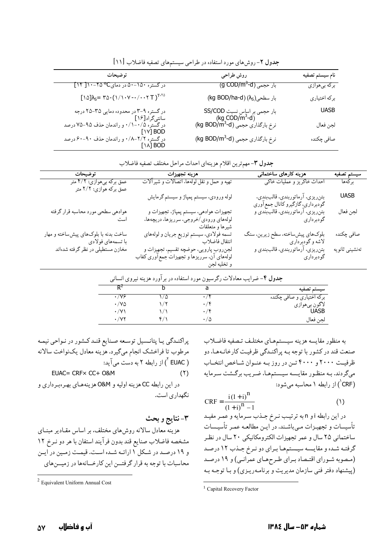| نام سيستم تصفيه | روش طراحي                                                                                                  | توضيحات                                                                                                                                                                                                                                                                                                  |
|-----------------|------------------------------------------------------------------------------------------------------------|----------------------------------------------------------------------------------------------------------------------------------------------------------------------------------------------------------------------------------------------------------------------------------------------------------|
| برکه بیهوازی    | <del>بار حجمی (g COD/m<sup>3</sup>-d)</del>                                                                | در گستره ۵۰–۵۰ در دمای <sup>00</sup> ۲۵–۱۰ [ ۱۴]                                                                                                                                                                                                                                                         |
| بركه اختياري    | $(kg\ BOD/ha\text{-}d)\,(\lambda_S)$ بار سطحی                                                              | $[\hspace{0.1cm}1\hspace{0.1cm}\triangle\hspace{0.1cm}]\lambda_{S}{=}\hspace{0.1cm}\tau\vartriangle\cdot\left(\hspace{0.1cm}1\hspace{0.1cm}/\hspace{0.1cm}\cdot\hspace{0.1cm}\nu\hspace{0.1cm}-\hspace{0.1cm}\cdot\hspace{0.1cm}/\hspace{0.1cm}\tau\right){}^{T\text{-}\tau\vartriangle\hspace{0.1cm}}}$ |
| <b>UASB</b>     | بار حجمی بر اساس نسبت SS/COD<br>(kg COD/m <sup>3</sup> -d)<br>نرخ بارگذاری حجمی (kg BOD/m <sup>3</sup> -d) | در گستره ۹–۳ در محدوده دمایی ۳۵–۲۵ درجه<br>سانتیگراد[۱۶]                                                                                                                                                                                                                                                 |
| لجن فعال        |                                                                                                            | در گستره ۰/۵–۰/۱ و راندمان حذف ۹۵–۷۵ درصد<br>۲۱۷I BOD<br>$ V $ BOD                                                                                                                                                                                                                                       |
| صافي چكنده      | نرخ بارگذاری حجمی (kg BOD/m <sup>3</sup> -d)                                                               | در گستره ۲/۲-۰/۸ و راندمان حذف ۹۰-۶۰ درصد<br>۱۳۵۵-۱۳۰۰<br>$\left[\begin{smallmatrix}1\end{smallmatrix}\right]$ BOD                                                                                                                                                                                       |

جدول ٢- روش های مورد استفاده در طراحی سیستمهای تصفیه فاضلاب [١١]

|  | <b>بدول ٣</b> -مهمترين اقلام هزينهاي احداث مراحل مختلف تصفيه فاضلاب |  |  |
|--|---------------------------------------------------------------------|--|--|
|  |                                                                     |  |  |

| توضيحات                                                   | هزينه تجهيزات                                                                                       | هزینه کارهای ساختمانی                                                | سيستم تصفيه    |
|-----------------------------------------------------------|-----------------------------------------------------------------------------------------------------|----------------------------------------------------------------------|----------------|
| عمق برکه بیهوازی: ۴/۲ متر<br>عمق برکه هوازي: ۲/۲ متر      | تهیه و حمل و نقل لولهها، اتصالات و شیرآلات                                                          | احداث خاكريز و عمليات خاكي                                           | بركەھا         |
|                                                           | لوله ورودي، سيستم پمپاژ و سيستم گرمايش                                                              | بتنريزي، ارماتوربندي، قالببندي،<br>گودبرداري، گازگيرو كانال جمع اوري | <b>UASB</b>    |
| هوادهي سطحي مورد محاسبه قرار گرفته<br>است                 | تجهيزات هوادهي، سيستم پمپاژ، تجهيزات و<br>لولههاي ورودي/خروجي، سرريزها، دريچهها،<br>شيرها و متعلقات | بتنریزی، ارماتوربندی، قالببندی و<br>گودبرداري                        | لجن فعال       |
| ساخت بدنه با بلوکهای پیشساخته و مهار<br>با تسمەھاي فولادى | تسمه فولادي، سيستم توزيع جريان و لولههاي<br>انتقال فاضلاب                                           | بلوکهاي پيشساخته، سطح زيرين، سنگ<br>لاشه و گودبرداري                 | صافي چكنده     |
| مخازن مستطیلی در نظر گرفته شدهاند                         | لجنروب پارويي، حوضچه تقسيم، تجهيزات و<br>لولههای آن، سرریزها و تجهیزات جمع آوری کفاب<br>و تخليه لجن | بتنریزی، ارماتوربندی، قالببندی و<br>گودبرداری                        | تەنشينى ثانويە |

|                           | جدول ۴- ضرایب معادلات رگرسیون مورد استفاده در براورد هزینه نیروی انسانی |  |              |
|---------------------------|-------------------------------------------------------------------------|--|--------------|
| سيستم تصفيه               |                                                                         |  | R            |
| برکه اختیاري و صافي چکنده | $\cdot$                                                                 |  | $\cdot$ /V&  |
| لاگون بيھوازي             | $\cdot$ /۲                                                              |  | $\cdot$ /ya  |
| UASB                      | $\cdot$ / $\mathfrak r$                                                 |  | $\cdot$ /V \ |
| لجن فعال                  | ۰/۵                                                                     |  | ۰/۷۲         |

به منظور مقايسه هزينه سيستمهاي مختلف تصفيه فاضلاب صنعت قند در کشور با توجه بـه پراکنـدگي ظرفيـت کارخانـههـا، دو ظرفیت ۲۰۰۰ و ۴۰۰۰ تـن در روز بـه عنـوان شـاخص انتخـاب میگردند. بـه منظـور مقايـسه سيـستمهـا، ضـريب برگـشت سـرمايه (CRF<sup>'</sup>) از رابطه ۱ محاسبه می شود:

$$
CRF = \frac{i(1+i)^{n}}{(1+i)^{n} - 1}
$$
 (1)

در این رابطه i و n به ترتیب نـرخ جـذب سـرماًیه و عمـر مفیـد تأسیسات و تجهیزات مے باشند. در ایـن مطالعـه عمـر تأسیـسات ساختمانی ۲۵ سال و عمر تجهیزات الکترومکانیکی ۲۰ سال در نظر گرفته شده و مقايسه سيستمها براي دو نرخ جـذب ١٢ درصـد (مصوبه شـوراي اقتـصاد بـراي طـرحهـاي عمرانـي) و ١٩ درصـد (پیشنهاد دفتر فنی سازمان مدیریت و برنامهریزی) و با توجه به

پراکنـدگي يـا پتانـسيل توسـعه صـنايع قنـد کـشور در نـواحي نيمـه .<br>مرطوب تا فراخشک انجام میگیرد. هزینه معادل یکنواخت سالانه ( EUAC ) از رابطه ۲ به دست می آید: EUAC= CRF× CC+ O&M  $(1)$ در اين رابطه CC هزينه اوليه و O&M هزينههـاي بهـرهبـرداري و نگهداری است.

٣-نتايج و بحث

هزینه معادل سالانه روش های مختلف، بر اساس مقـادیر مبنــای مشخصه فاضلاب صنايع قند بدون فرآيند استفان با هر دو نـرخ ١٢ و ۱۹ درصد در شکل ۱ ارائـه شـده اسـت. قیمـت زمـین در ایـن محاسبات با توجه به قرار گرفتــن این کارخــانهها در زمیــنهای

<sup>&</sup>lt;sup>1</sup> Capital Recovery Factor

<sup>&</sup>lt;sup>2</sup> Equivalent Uniform Annual Cost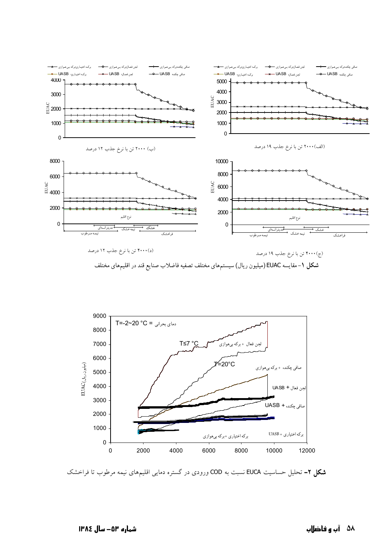





**شکل ۲-** تحلیل حساسیت EUCA نسبت به COD ورودی در گستره دمایی اقلیمهای نیمه مرطوب تا فراخشک

### ۵۸ آب و فاضلاب

شماره ۵۳– سال ۱۳۸٤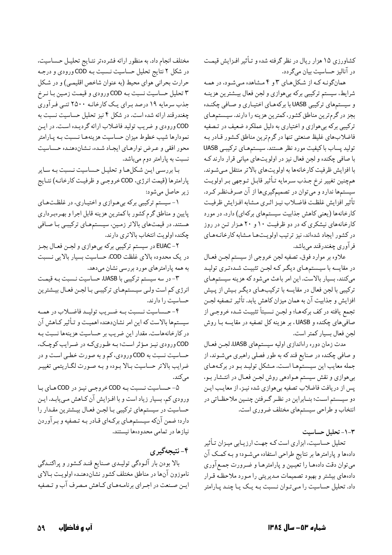کشاورزی ۱۵ هزار ریال در نظر گرفته شده و تـأثیر افـزایش قیمـت در آناليز حساسيت بيان مي گردد.

همانگونـه كـه از شكلهاي ٣ و ۴ مـشاهده مـيشـود، در همـه شرايط، سيستم تركيبي بركه بىهوازى و لجن فعال بيـشترين هزينـه و سیستمهای ترکیبی UASB با برکههای اختیاری و صافی چکنده بجز در گرمترین مناطق کشور، کمترین هزینه را دارند. سیستمهـای ترکیبی برکه بیهوازی و اختیاری به دلیل عملکرد ضعیف در تصفیه فاضلابهاي غليظ صنعتي تنها در گرمترين مناطق كشور قادر بـه تولید پساب با کیفیت مورد نظر هستند. سیستمهای ترکیبی UASB با صافي چکنده و لجن فعال نيز در اولويتهاي مياني قرار دارند ک با افزايش ظرفيت كارخانهها به اولويتهاى بالاتر منتقل مى شوند. همچنین تغییر نرخ جـذب سـرمایه تـأثیر قابـل تـوجهي بـر اولويـت سیستمها ندارد و میتوان در تصمیمگیریها از آن صرفنظر کرد. تأثير افزايش غلظت فاضلاب نيـز اثـري مـشابه افـزايش ظرفيـت کارخانهها (يعني کاهش جذابيت سيستمهاي بركهاي) دارد. در مورد کارخانههای نیشکری که در دو ظرفیت ۱۰ و ۲۰ هزار تن در روز در کشور ایجاد شدهاند، نیز ترتیب اولویتها مشابه کارخانـههـای فرآوري چغندرقند ميباشد.

علاوه بر موارد فوق، تصفيه لجن خروجي از سيستم لجـن فعـال در مقايسه با سيستمهاي ديگر كـه لجـن تثبيـت شـدهتري توليـد میکنند، بسیار بالاست. این امر باعث میشود که هزینه سیستمهای ترکیبی با لجن فعال در مقایسه با ترکیبهای دیگر بیش از پیش افزایش و جذابیت آن به همان میزان کاهش یابد. تأثیر تـصفیه لجـن تجمع يافته در كف بركههـا؛ و لجـن نـسبتاً تثبيـت شـده خروجـي از صافي هاي چکنده و UASB ، بر هزينه کل تصفيه در مقايسه بـا روش لجن فعال بسيار كمتر است.

مدت زمان دوره راهاندازي اوليه سيستمهاي UASB، لجـن فعـال و صافي چکنده در صنايع قند که به طور فصلي راهبري ميشـوند، از جمله معایب این سیستمها است. مشکل تولیـد بـو در برکـههـای بیهوازی و نقش سیستم هـوادهی روش لجـن فعـال در انتـشار بـو، پس از دریافت فاضلاب تصفیه بیهوازی شده نیـز، از معایـب ایـن دو سیستم است؛ بنـابراین در نظـر گـرفتن چنـین ملاحظـاتی در انتخاب و طراحی سیستمهای مختلف ضروری است.

١-٣- تحليل حساسيت

تحلیل حساسیت، ابزاری است کـه جهـت ارزیـابی میـزان تـأثیر دادهها و پارامترها بر نتایج طراحی استفاده میشود؛ و بـه کمـک آن می توان دقت دادههـا را تعیـین و پارامترهـا و ضـرورت جمـع آوري دادههای بیشتر و بهبود تصمیمات مدیریتی را مـورد ملاحظـه قـرار داد. تحلیل حساسیت را مے توان نـسبت بـه یـک پـا چنـد پـارامتر

مختلف انجام داد. به منظور ارائه فشردهتر نتـايج تحليـل حـساسيت، در شکل ۲ نتایج تحلیل حساسیت نـسبت بـه COD ورودي و درجـه حرارت بحراني هواي محيط (به عنوان شاخص اقليمي) و در شكل ۳ تحلیل حساسیت نسبت بـه COD ورودي و قیمـت زمـین بـا نـرخ جذب سرمایه ۱۹ درصد بـرای یـک کارخانـه ۲۵۰۰ تنـی فـرآوری چغندرقند ارائه شده است. در شکل ۴ نیز تحلیل حساسیت نسبت به COD ورودي و ضريب توليد فاضلاب ارائه گرديده است. در اين نمودارها شیب خطوط میزان حساسیت هزینههـا نـسبت بـه پـارامتر محور افقي و عـرض نوارهـاي ايجـاد شـده، نـشاندهنـده حـساسيت نسبت به پارامتر دوم میباشد.

با بررسی این شکلها و تحلیل حساسیت نسبت به سایر پارامترها (قیمت انرژی، COD خروجـي و ظرفيـت كارخانـه) نتـايج زير حاصل مي شود:

۱- سیستم ترکیبی برکه بیهوازی و اختیاری، در غلظتهای پایین و مناطق گرم کشور با کمترین هزینه قابل اجرا و بهرهبرداری هستند. در قیمتهای بالاتر زمین، سیستمهای ترکیبـی بـا صـافی چکنده اولويت انتخاب بالاتري دارند.

EUAC -۲ در سیستم ترکیبی برکه بیهوازی و لجـن فعـال بجـز در یک محدوده بالای غلظت COD، حساسیت بسیار بالایی نـسبت به همه پارامترهای مورد بررسی نشان میدهد.

۳- در سه سیستم ترکیبی با UASB، حساسیت نـسبت بـه قیمـت انرژی کم است ولـی سیـستمهـای ترکیبـی بـا لجـن فعـال بیـشترین حساسیت را دارند.

۴- حـساسيت نـسبت بـه ضـريب توليـد فاضـلاب در همـه سیستمها بالاست که این امر نشاندهنده اهمیت و تـأثیر کـاهش آن در کارخانههاست. مقدار این ضریب بر حساسیت هزینهها نسبت بـه COD ورودي نيـز مـؤثر اسـت؛ بـه طـوريكـه در ضـرايب كوچـك، حساسیت نسبت به COD ورودي، كم و به صورت خطبي است و در ضرایب بالاتر حساسیت بالا بوده و به صورت لگاریتمی تغییر مې کند.

۵- حساسیت نسبت به COD خروجی نیز در COD های با ورودی کم، بسیار زیاد است و با افـزایش آن کـاهش مـیLیابـد. ایـن حساسیت در سیستمهای ترکیبی بـا لجـن فعـال بیـشترین مقـدار را دارد؛ ضمن آنکه سیـستمهـای برکـهای قـادر بـه تـصفیه و بـرآوردن نیازها در تمامی محدودهها نیستند.

۴- نتيجەگيرى بالا بودن بار آلـودگي توليـدي صـنايع قنـد كـشور و پراكنـدگي ناموزون آنها در مناطق مختلف كشور نشاندهنـده اولويـت بـالاي ایـن صـنعت در اجـراي برنامـههـاي كـاهش مـصرف آب و تـصفيه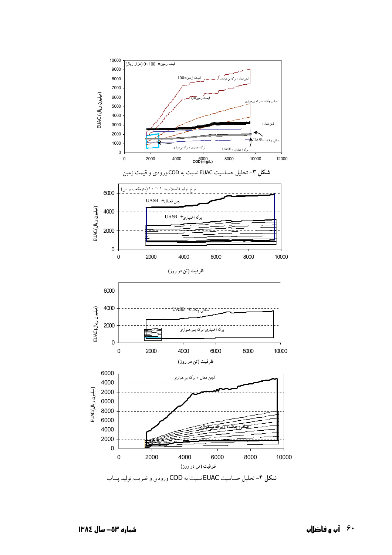

آب و فاضلاب  $\hat{P}$